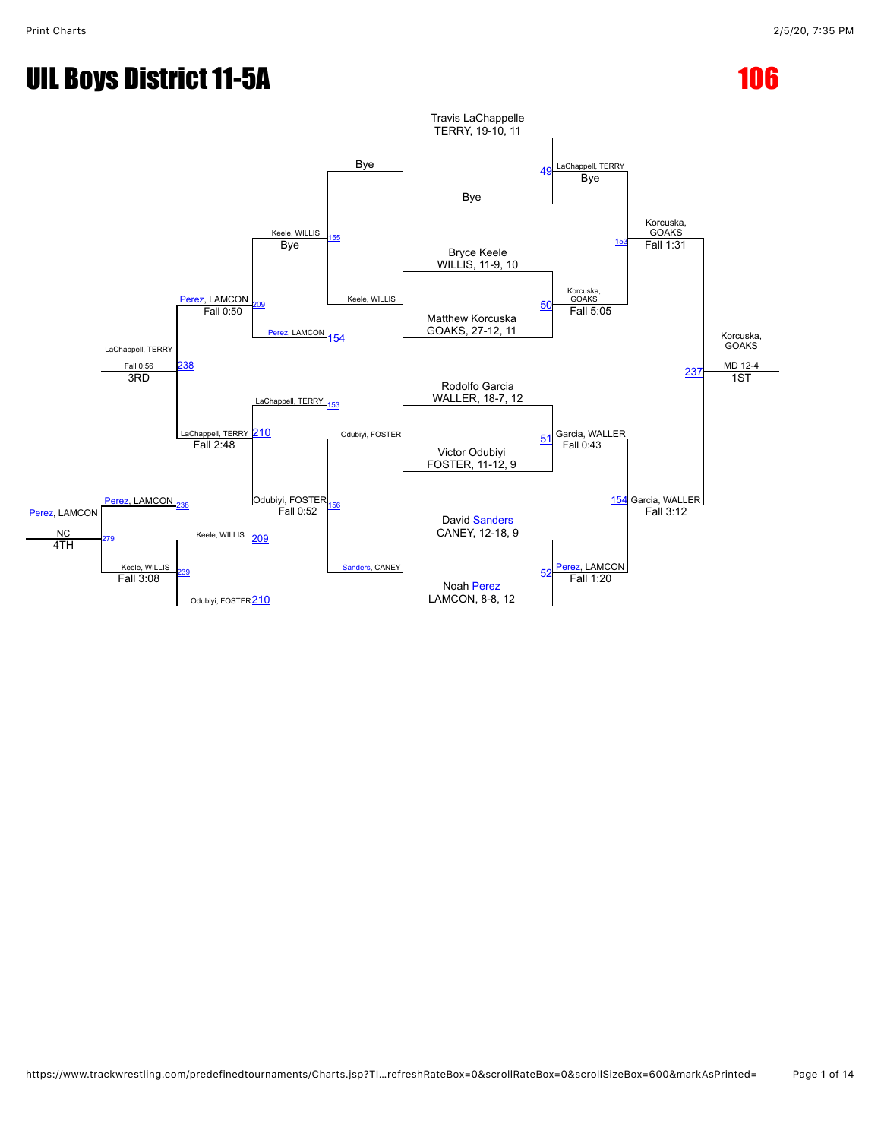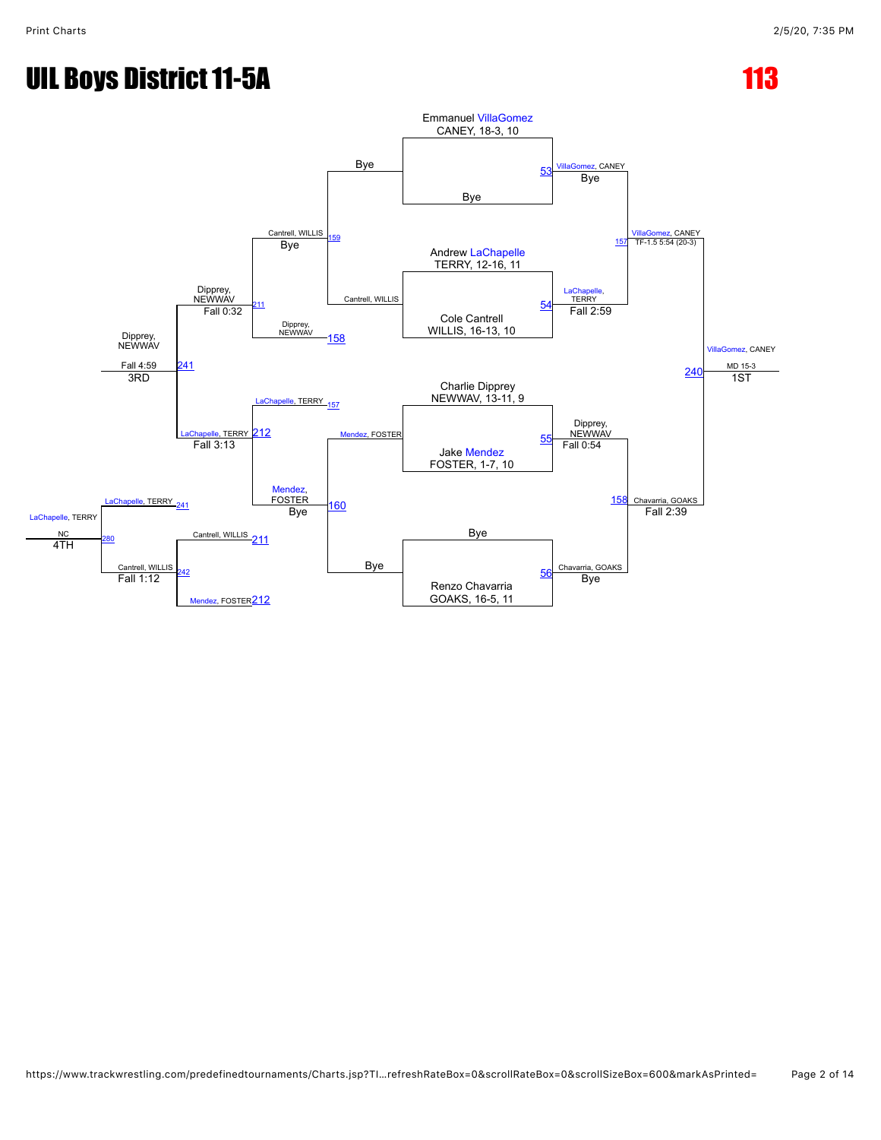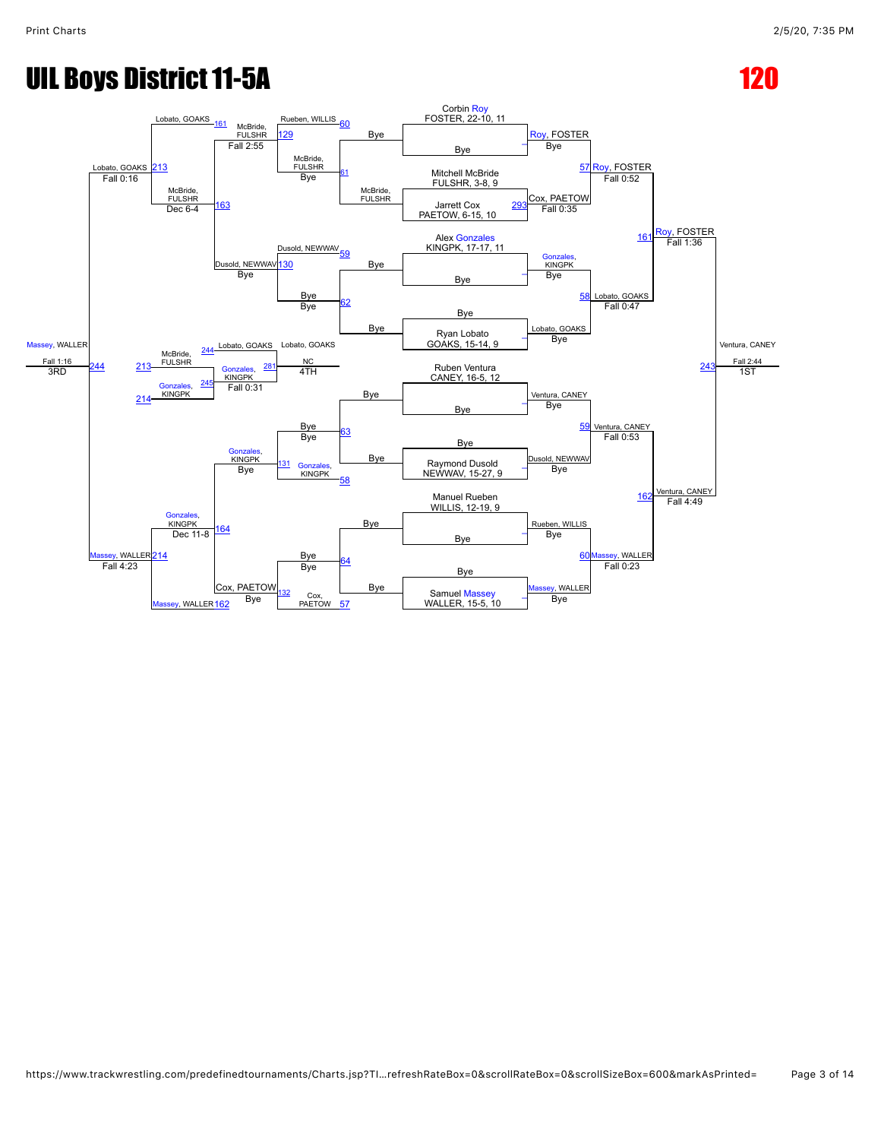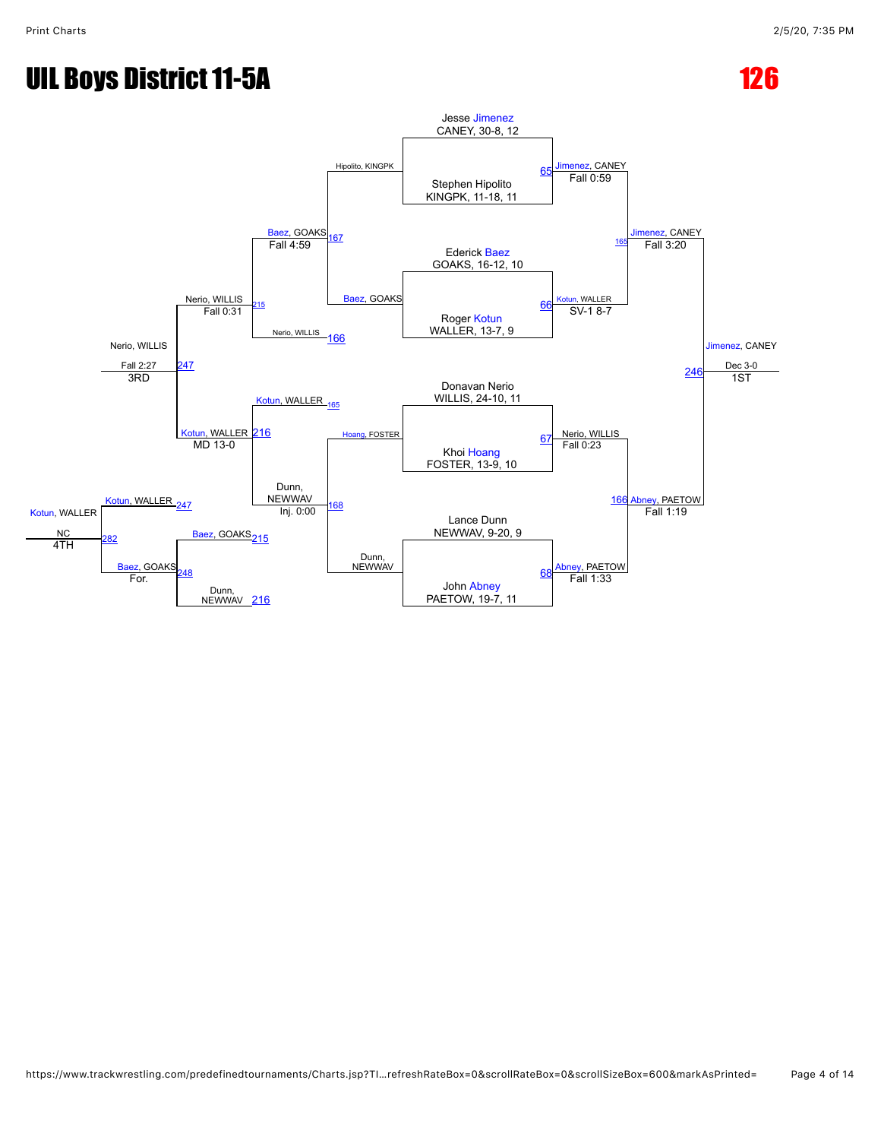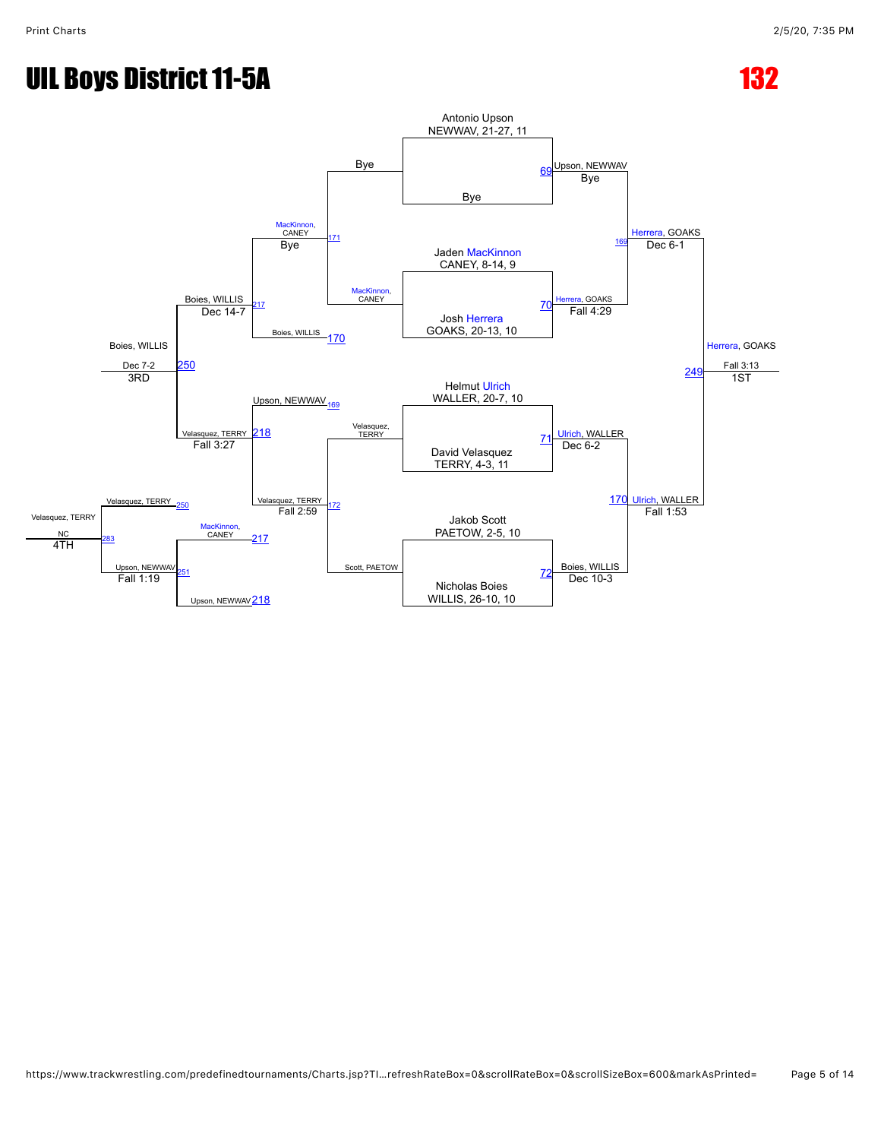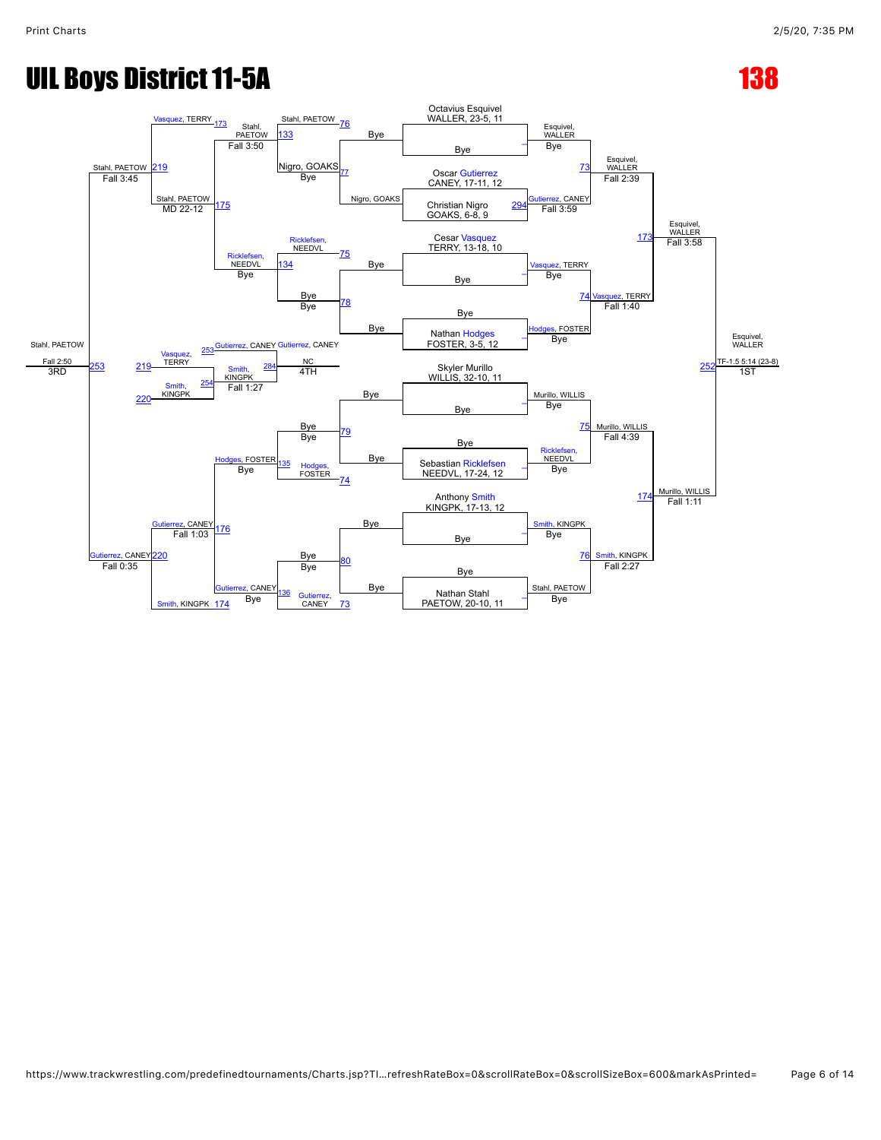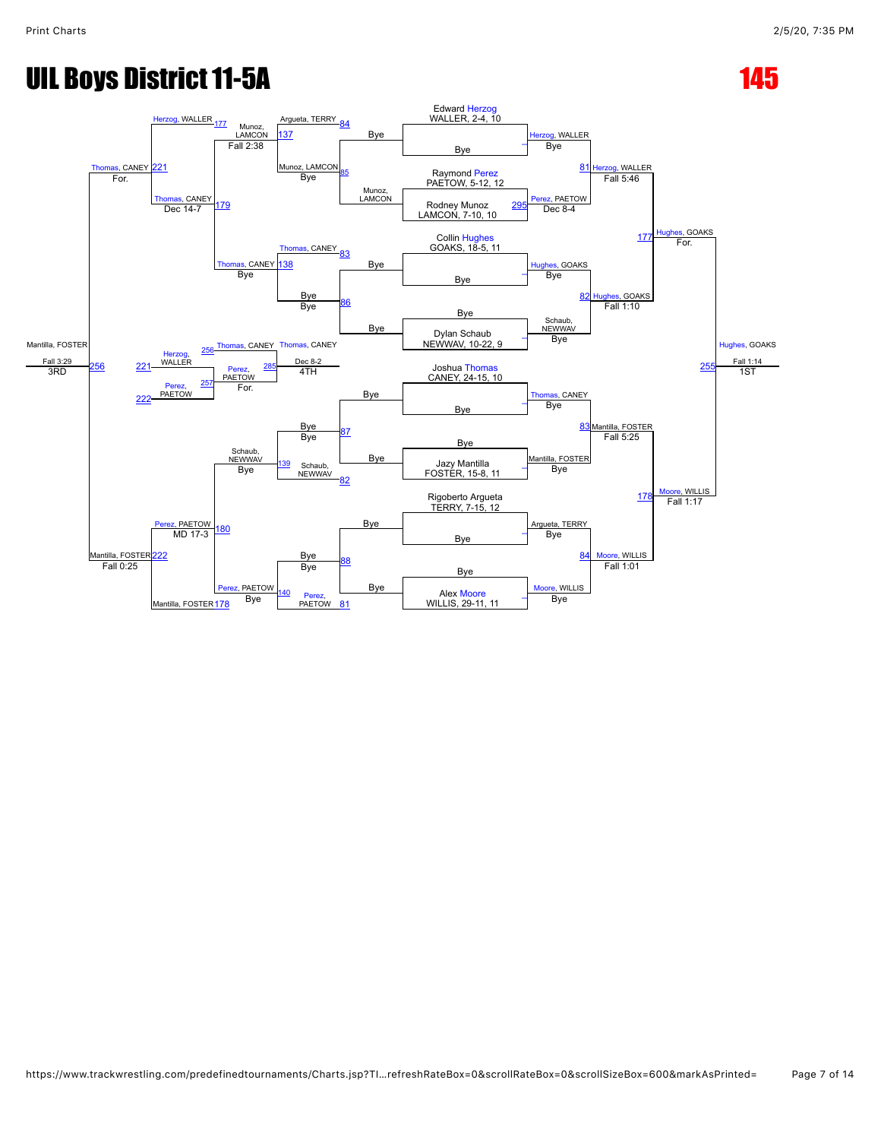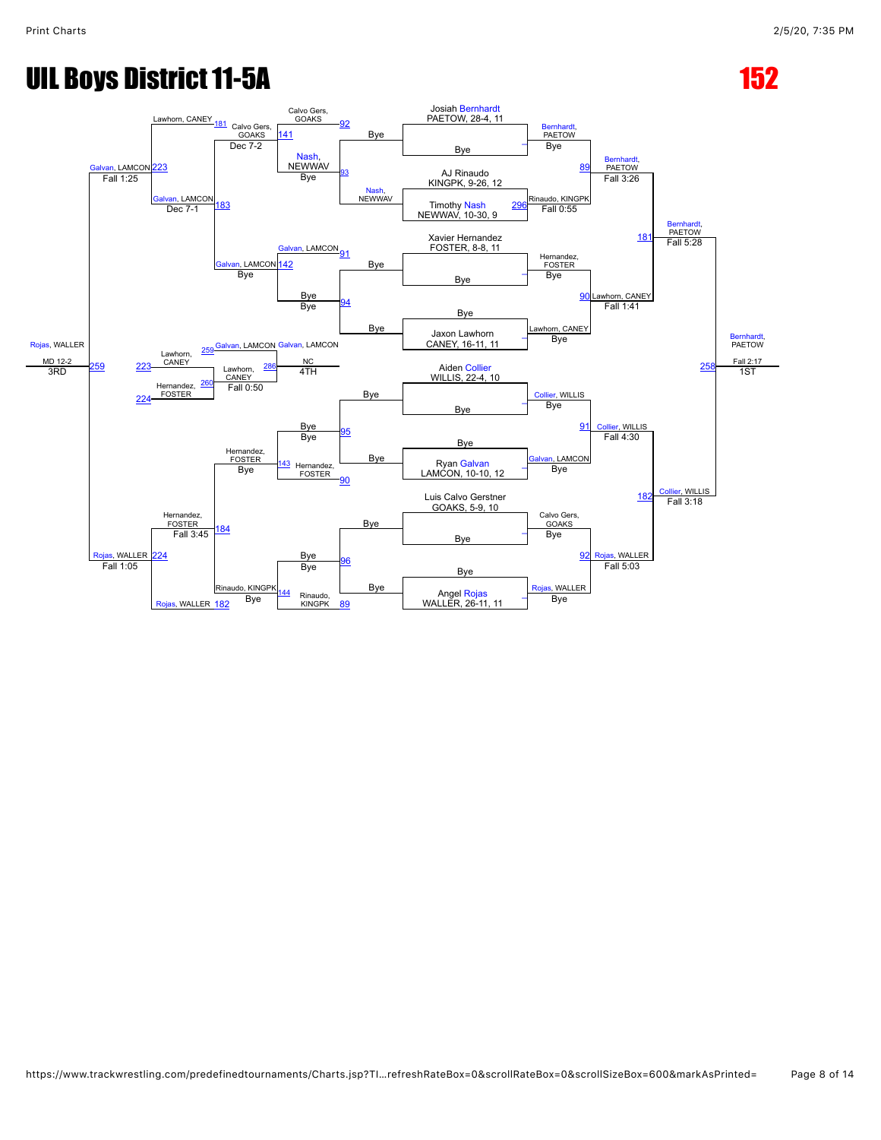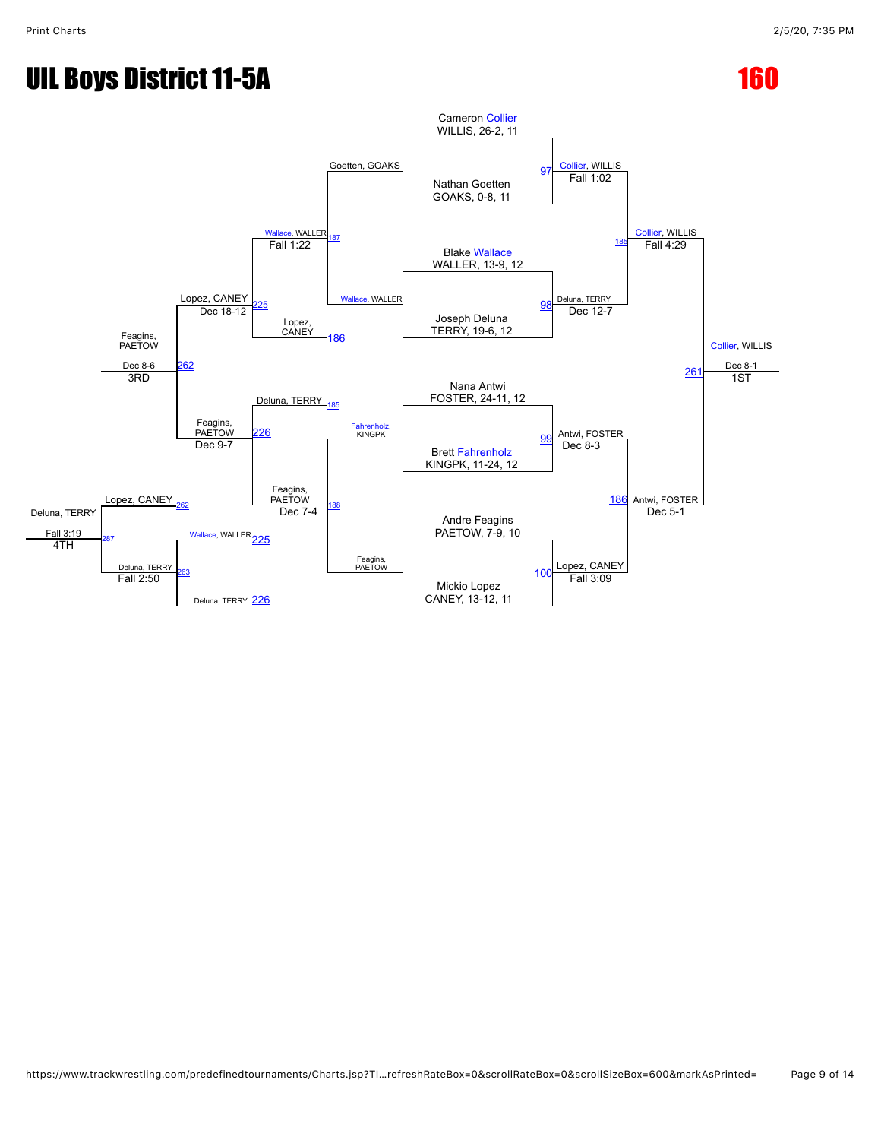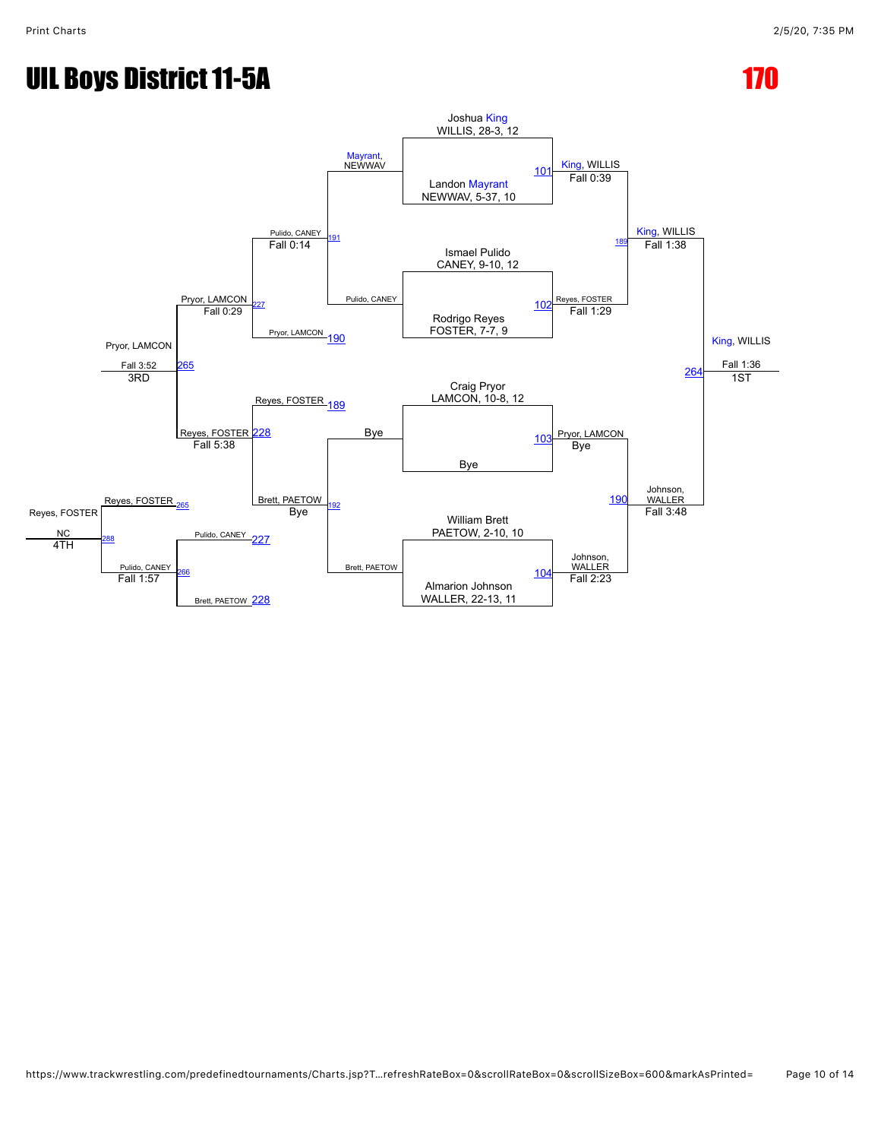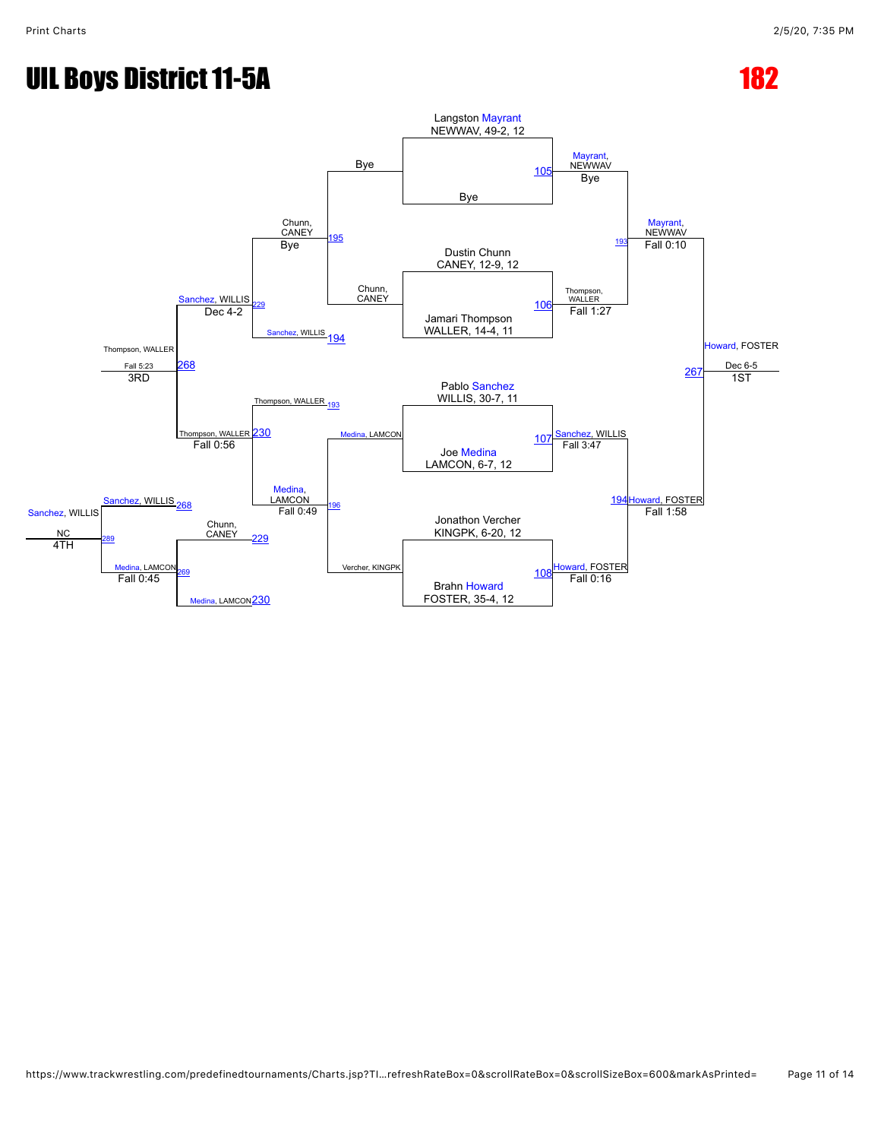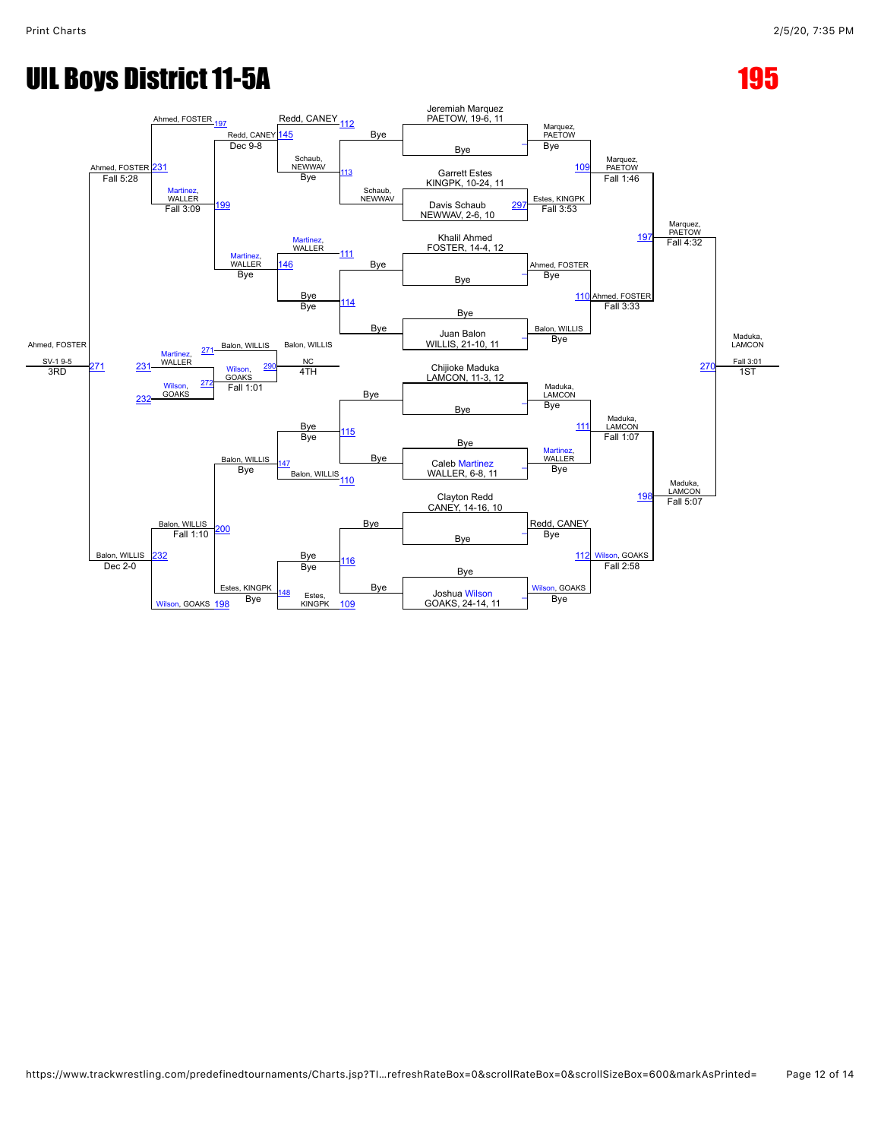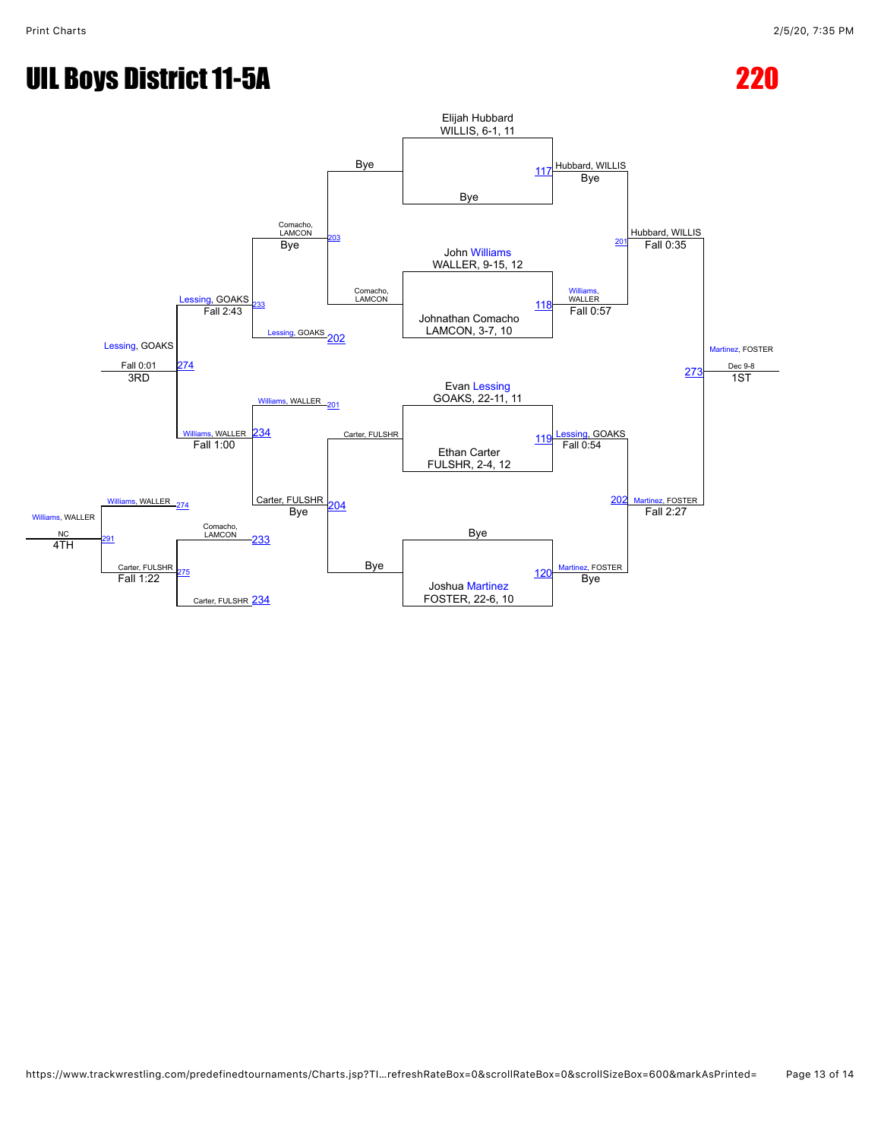